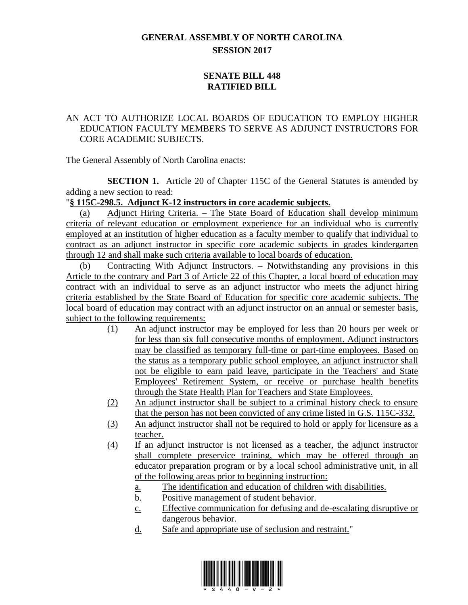## **GENERAL ASSEMBLY OF NORTH CAROLINA SESSION 2017**

## **SENATE BILL 448 RATIFIED BILL**

## AN ACT TO AUTHORIZE LOCAL BOARDS OF EDUCATION TO EMPLOY HIGHER EDUCATION FACULTY MEMBERS TO SERVE AS ADJUNCT INSTRUCTORS FOR CORE ACADEMIC SUBJECTS.

The General Assembly of North Carolina enacts:

**SECTION 1.** Article 20 of Chapter 115C of the General Statutes is amended by adding a new section to read:

## "**§ 115C-298.5. Adjunct K-12 instructors in core academic subjects.**

(a) Adjunct Hiring Criteria. – The State Board of Education shall develop minimum criteria of relevant education or employment experience for an individual who is currently employed at an institution of higher education as a faculty member to qualify that individual to contract as an adjunct instructor in specific core academic subjects in grades kindergarten through 12 and shall make such criteria available to local boards of education.

(b) Contracting With Adjunct Instructors. – Notwithstanding any provisions in this Article to the contrary and Part 3 of Article 22 of this Chapter, a local board of education may contract with an individual to serve as an adjunct instructor who meets the adjunct hiring criteria established by the State Board of Education for specific core academic subjects. The local board of education may contract with an adjunct instructor on an annual or semester basis, subject to the following requirements:

- (1) An adjunct instructor may be employed for less than 20 hours per week or for less than six full consecutive months of employment. Adjunct instructors may be classified as temporary full-time or part-time employees. Based on the status as a temporary public school employee, an adjunct instructor shall not be eligible to earn paid leave, participate in the Teachers' and State Employees' Retirement System, or receive or purchase health benefits through the State Health Plan for Teachers and State Employees.
- (2) An adjunct instructor shall be subject to a criminal history check to ensure that the person has not been convicted of any crime listed in G.S. 115C-332.
- (3) An adjunct instructor shall not be required to hold or apply for licensure as a teacher.
- (4) If an adjunct instructor is not licensed as a teacher, the adjunct instructor shall complete preservice training, which may be offered through an educator preparation program or by a local school administrative unit, in all of the following areas prior to beginning instruction:
	- a. The identification and education of children with disabilities.
	- b. Positive management of student behavior.
	- c. Effective communication for defusing and de-escalating disruptive or dangerous behavior.
	- d. Safe and appropriate use of seclusion and restraint."